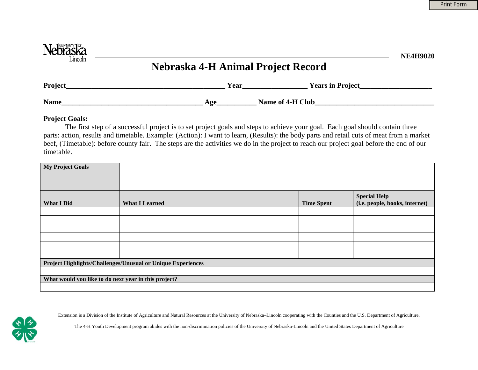| Nebraska<br>Lincoln | Nebraska 4-H Animal Project Record | <b>NE4H9020</b> |
|---------------------|------------------------------------|-----------------|
| <b>Project</b>      | <b>Years in Project</b><br>Year    |                 |
| <b>Name</b>         | Name of 4-H Club<br>Age            |                 |

## **Project Goals:**

 The first step of a successful project is to set project goals and steps to achieve your goal. Each goal should contain three parts: action, results and timetable. Example: (Action): I want to learn, (Results): the body parts and retail cuts of meat from a market beef, (Timetable): before county fair. The steps are the activities we do in the project to reach our project goal before the end of our timetable.

| <b>My Project Goals</b>                                     |                       |                   |                                                       |  |  |
|-------------------------------------------------------------|-----------------------|-------------------|-------------------------------------------------------|--|--|
| <b>What I Did</b>                                           | <b>What I Learned</b> | <b>Time Spent</b> | <b>Special Help</b><br>(i.e. people, books, internet) |  |  |
|                                                             |                       |                   |                                                       |  |  |
|                                                             |                       |                   |                                                       |  |  |
|                                                             |                       |                   |                                                       |  |  |
|                                                             |                       |                   |                                                       |  |  |
|                                                             |                       |                   |                                                       |  |  |
|                                                             |                       |                   |                                                       |  |  |
| Project Highlights/Challenges/Unusual or Unique Experiences |                       |                   |                                                       |  |  |
|                                                             |                       |                   |                                                       |  |  |
| What would you like to do next year in this project?        |                       |                   |                                                       |  |  |
|                                                             |                       |                   |                                                       |  |  |



Extension is a Division of the Institute of Agriculture and Natural Resources at the University of Nebraska–Lincoln cooperating with the Counties and the U.S. Department of Agriculture.

The 4-H Youth Development program abides with the non-discrimination policies of the University of Nebraska-Lincoln and the United States Department of Agriculture